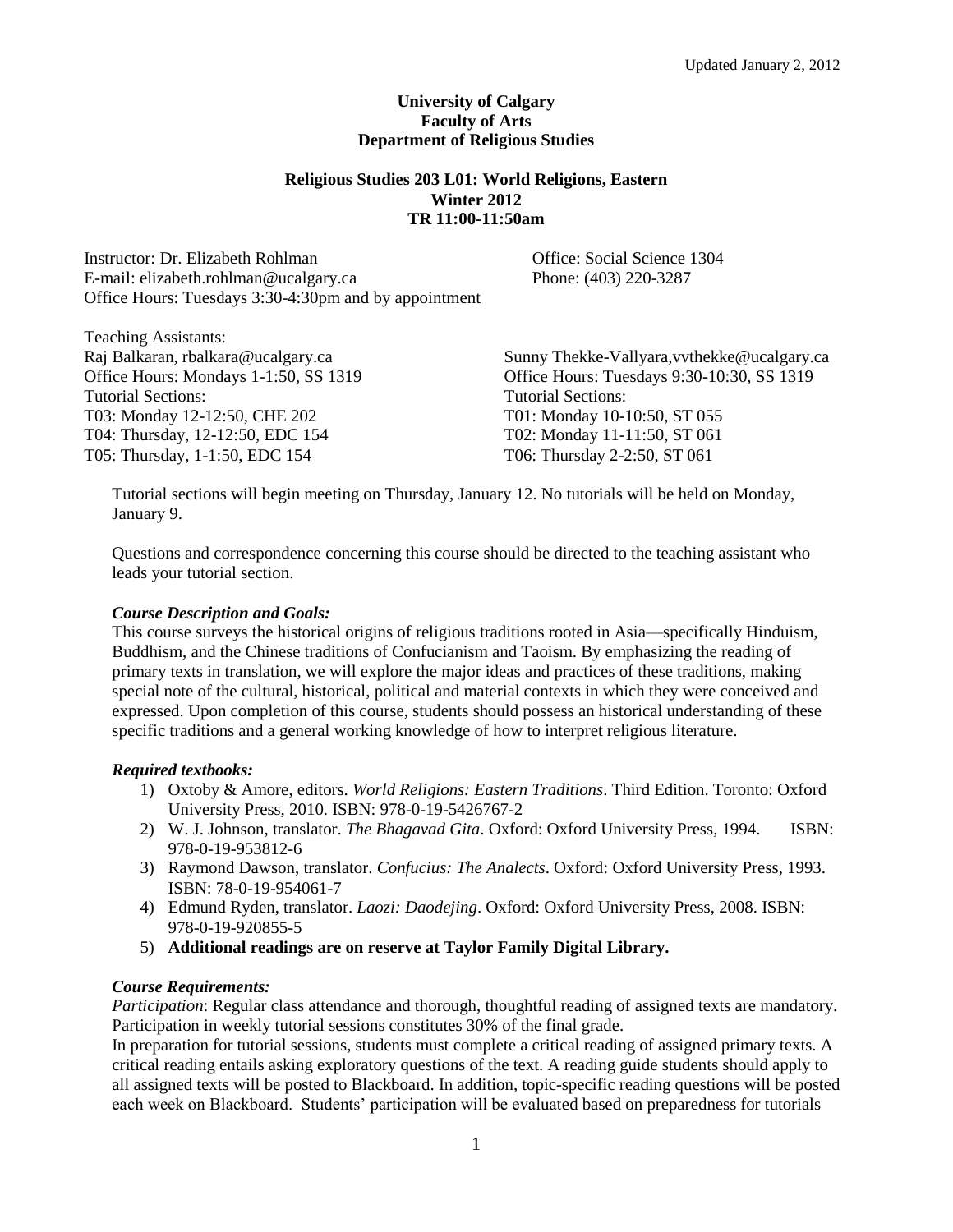### **University of Calgary Faculty of Arts Department of Religious Studies**

## **Religious Studies 203 L01: World Religions, Eastern Winter 2012 TR 11:00-11:50am**

Instructor: Dr. Elizabeth Rohlman<br>
E-mail: elizabeth.rohlman@ucalgary.ca<br>
Phone: (403) 220-3287 E-mail: elizabeth.rohlman@ucalgary.ca Office Hours: Tuesdays 3:30-4:30pm and by appointment

Teaching Assistants: Raj Balkaran, rbalkara@ucalgary.ca Office Hours: Mondays 1-1:50, SS 1319 Tutorial Sections: T03: Monday 12-12:50, CHE 202 T04: Thursday, 12-12:50, EDC 154 T05: Thursday, 1-1:50, EDC 154

Sunny Thekke-Vallyara,vvthekke@ucalgary.ca Office Hours: Tuesdays 9:30-10:30, SS 1319 Tutorial Sections: T01: Monday 10-10:50, ST 055 T02: Monday 11-11:50, ST 061 T06: Thursday 2-2:50, ST 061

Tutorial sections will begin meeting on Thursday, January 12. No tutorials will be held on Monday, January 9.

Questions and correspondence concerning this course should be directed to the teaching assistant who leads your tutorial section.

### *Course Description and Goals:*

This course surveys the historical origins of religious traditions rooted in Asia—specifically Hinduism, Buddhism, and the Chinese traditions of Confucianism and Taoism. By emphasizing the reading of primary texts in translation, we will explore the major ideas and practices of these traditions, making special note of the cultural, historical, political and material contexts in which they were conceived and expressed. Upon completion of this course, students should possess an historical understanding of these specific traditions and a general working knowledge of how to interpret religious literature.

# *Required textbooks:*

- 1) Oxtoby & Amore, editors. *World Religions: Eastern Traditions*. Third Edition. Toronto: Oxford University Press, 2010. ISBN: 978-0-19-5426767-2
- 2) W. J. Johnson, translator. *The Bhagavad Gita*. Oxford: Oxford University Press, 1994. ISBN: 978-0-19-953812-6
- 3) Raymond Dawson, translator. *Confucius: The Analects*. Oxford: Oxford University Press, 1993. ISBN: 78-0-19-954061-7
- 4) Edmund Ryden, translator. *Laozi: Daodejing*. Oxford: Oxford University Press, 2008. ISBN: 978-0-19-920855-5
- 5) **Additional readings are on reserve at Taylor Family Digital Library.**

# *Course Requirements:*

*Participation*: Regular class attendance and thorough, thoughtful reading of assigned texts are mandatory. Participation in weekly tutorial sessions constitutes 30% of the final grade.

In preparation for tutorial sessions, students must complete a critical reading of assigned primary texts. A critical reading entails asking exploratory questions of the text. A reading guide students should apply to all assigned texts will be posted to Blackboard. In addition, topic-specific reading questions will be posted each week on Blackboard. Students' participation will be evaluated based on preparedness for tutorials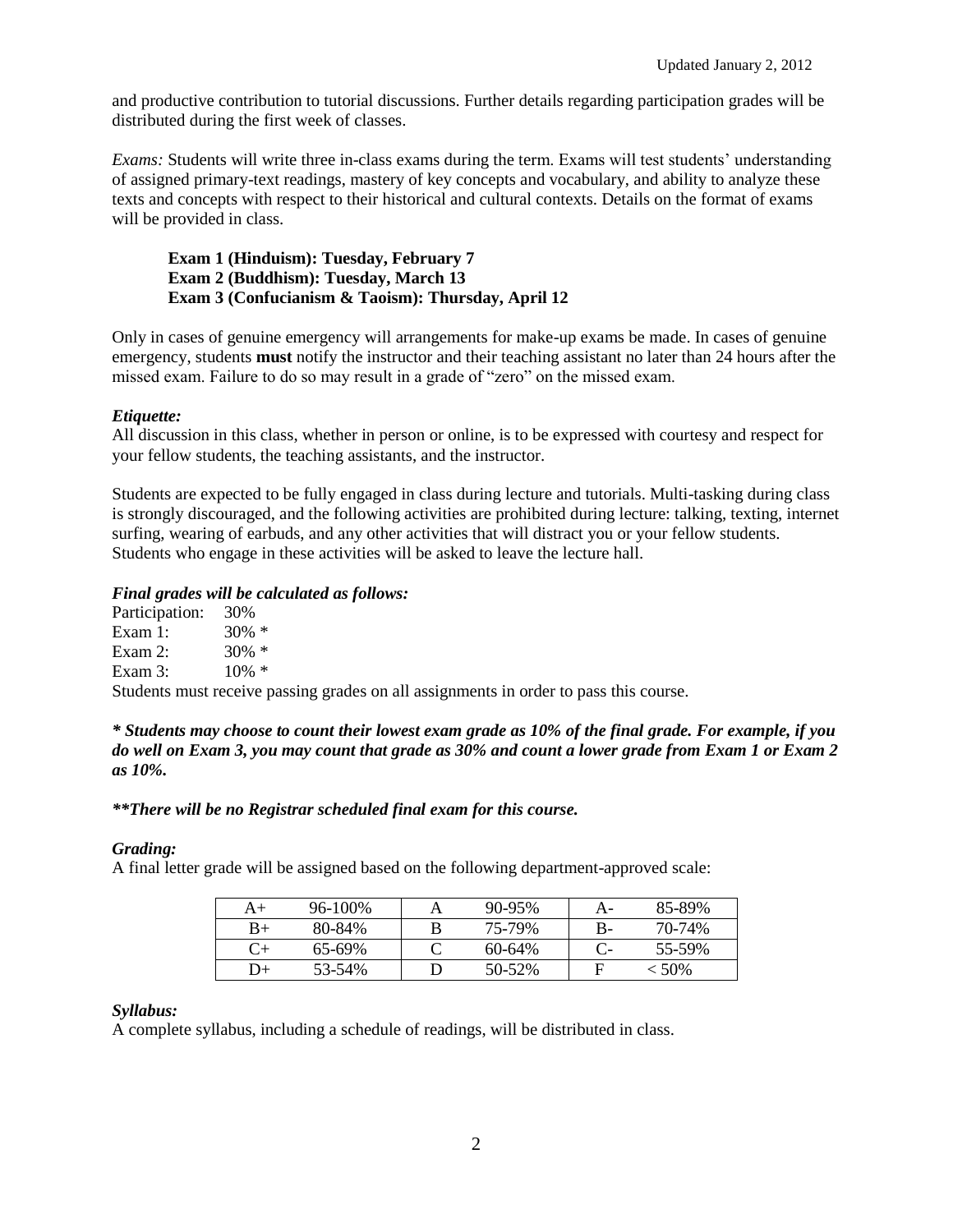and productive contribution to tutorial discussions. Further details regarding participation grades will be distributed during the first week of classes.

*Exams:* Students will write three in-class exams during the term. Exams will test students' understanding of assigned primary-text readings, mastery of key concepts and vocabulary, and ability to analyze these texts and concepts with respect to their historical and cultural contexts. Details on the format of exams will be provided in class.

### **Exam 1 (Hinduism): Tuesday, February 7 Exam 2 (Buddhism): Tuesday, March 13 Exam 3 (Confucianism & Taoism): Thursday, April 12**

Only in cases of genuine emergency will arrangements for make-up exams be made. In cases of genuine emergency, students **must** notify the instructor and their teaching assistant no later than 24 hours after the missed exam. Failure to do so may result in a grade of "zero" on the missed exam.

# *Etiquette:*

All discussion in this class, whether in person or online, is to be expressed with courtesy and respect for your fellow students, the teaching assistants, and the instructor.

Students are expected to be fully engaged in class during lecture and tutorials. Multi-tasking during class is strongly discouraged, and the following activities are prohibited during lecture: talking, texting, internet surfing, wearing of earbuds, and any other activities that will distract you or your fellow students. Students who engage in these activities will be asked to leave the lecture hall.

# *Final grades will be calculated as follows:*

| Participation: 30% |                                                                                       |
|--------------------|---------------------------------------------------------------------------------------|
| Exam 1:            | $30\% *$                                                                              |
| Exam 2:            | 30\% $*$                                                                              |
| Exam 3:            | $10\% *$                                                                              |
|                    | Students must receive passing grades on all assignments in order to pass this course. |

*\* Students may choose to count their lowest exam grade as 10% of the final grade. For example, if you do well on Exam 3, you may count that grade as 30% and count a lower grade from Exam 1 or Exam 2 as 10%.* 

# *\*\*There will be no Registrar scheduled final exam for this course.*

### *Grading:*

A final letter grade will be assigned based on the following department-approved scale:

| $\mathsf{A}+$ | $96 - 100\%$ | $90 - 95\%$ | А- | 85-89%   |
|---------------|--------------|-------------|----|----------|
| $B+$          | 80-84%       | 75-79%      | B- | 70-74%   |
|               | $65-69%$     | $60 - 64\%$ |    | 55-59%   |
| +כ            | 53-54%       | 50-52%      |    | $< 50\%$ |

# *Syllabus:*

A complete syllabus, including a schedule of readings, will be distributed in class.